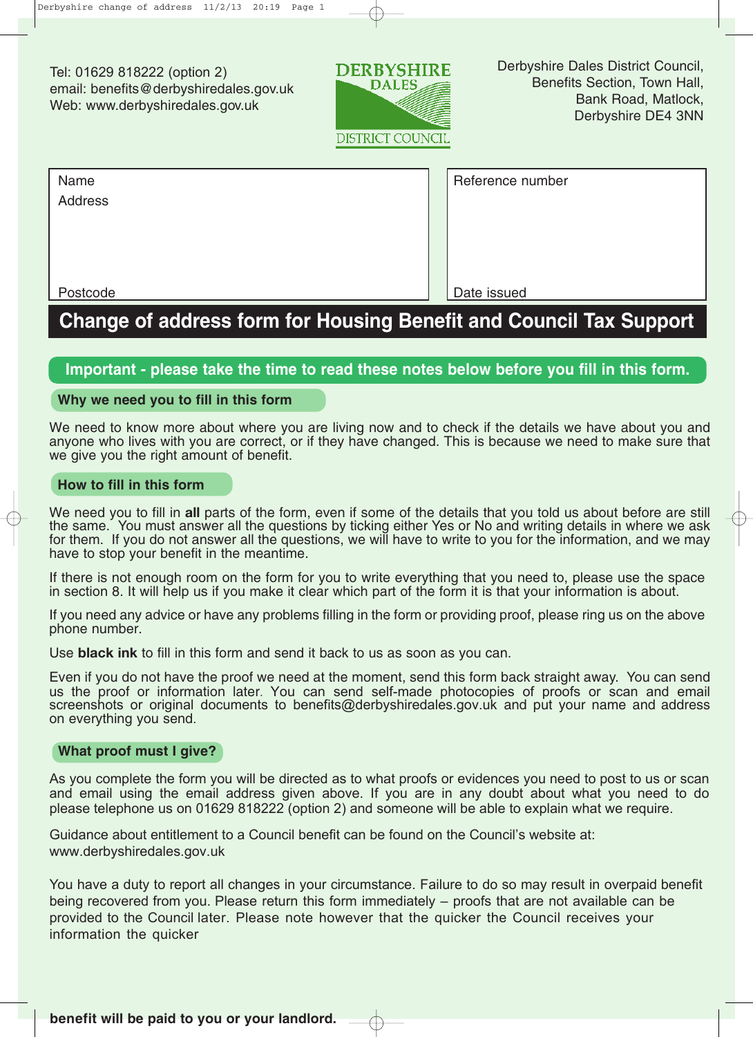Tel: 01629 818222 (option 2) email: benefits@derbyshiredales.gov.uk Web: www.derbyshiredales.gov.uk



| Name     | Reference number |
|----------|------------------|
| Address  |                  |
|          |                  |
|          |                  |
|          |                  |
| Postcode | Date issued      |

# **Change of address form for Housing Benefit and Council Tax Support**

## **Important - please take the time to read these notes below before you fill in this form.**

#### **Why we need you to fill in this form**

We need to know more about where you are living now and to check if the details we have about you and anyone who lives with you are correct, or if they have changed. This is because we need to make sure that we give you the right amount of benefit.

### **How to fill in this form**

We need you to fill in **all** parts of the form, even if some of the details that you told us about before are still the same. You must answer all the questions by ticking either Yes or No and writing details in where we ask for them. If you do not answer all the questions, we will have to write to you for the information, and we may have to stop your benefit in the meantime.

If there is not enough room on the form for you to write everything that you need to, please use the space in section 8. It will help us if you make it clear which part of the form it is that your information is about.

If you need any advice or have any problems filling in the form or providing proof, please ring us on the above phone number.

Use **black ink** to fill in this form and send it back to us as soon as you can.

Even if you do not have the proof we need at the moment, send this form back straight away. You can send us the proof or information later. You can send self-made photocopies of proofs or scan and email screenshots or original documents to benefits@derbyshiredales.gov.uk and put your name and address on everything you send.

### **What proof must I give?**

As you complete the form you will be directed as to what proofs or evidences you need to post to us or scan and email using the email address given above. If you are in any doubt about what you need to do please telephone us on 01629 818222 (option 2) and someone will be able to explain what we require.

Guidance about entitlement to a Council benefit can be found on the Council's website at: www.derbyshiredales.gov.uk

You have a duty to report all changes in your circumstance. Failure to do so may result in overpaid benefit being recovered from you. Please return this form immediately – proofs that are not available can be provided to the Council later. Please note however that the quicker the Council receives your information the quicker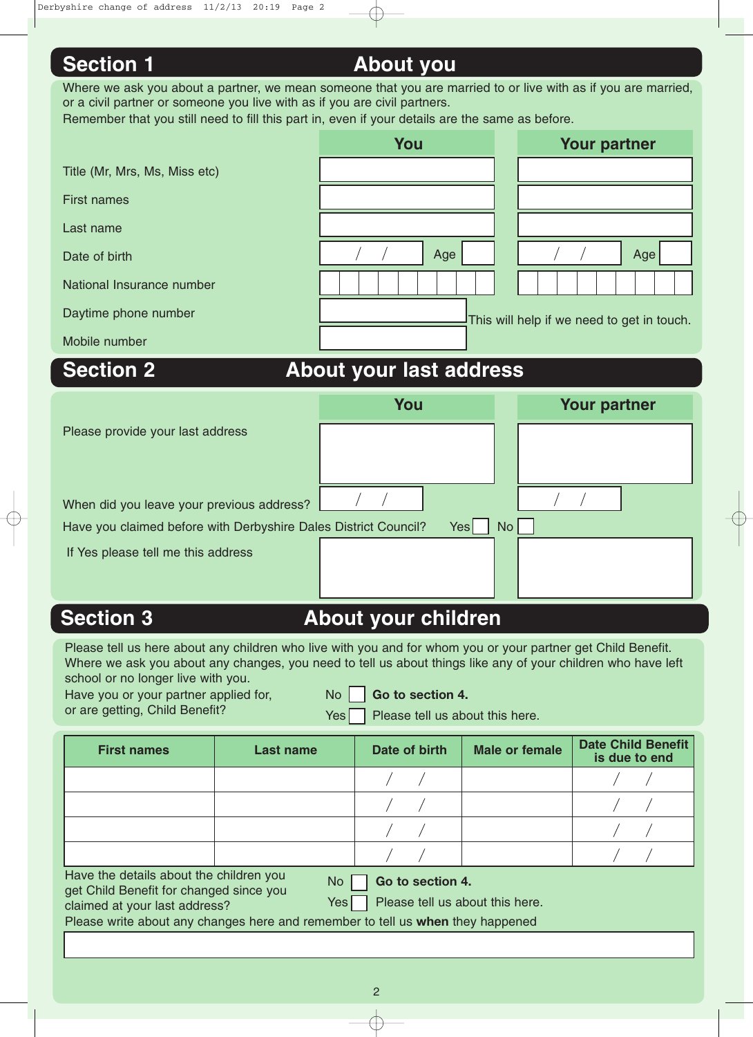# **Section 1 About you**

| Where we ask you about a partner, we mean someone that you are married to or live with as if you are married, |
|---------------------------------------------------------------------------------------------------------------|
| or a civil partner or someone you live with as if you are civil partners.                                     |
| Remember that you still need to fill this part in, even if your details are the same as before.               |
|                                                                                                               |

|                               | You                     | <b>Your partner</b>                        |  |  |
|-------------------------------|-------------------------|--------------------------------------------|--|--|
| Title (Mr, Mrs, Ms, Miss etc) |                         |                                            |  |  |
| <b>First names</b>            |                         |                                            |  |  |
| Last name                     |                         |                                            |  |  |
| Date of birth                 | Age                     | Age                                        |  |  |
| National Insurance number     |                         |                                            |  |  |
| Daytime phone number          |                         | This will help if we need to get in touch. |  |  |
| Mobile number                 |                         |                                            |  |  |
| <b>Section 2</b>              | About your last address |                                            |  |  |

# **About your last address**

|                                                                 | You  |                 | <b>Your partner</b> |
|-----------------------------------------------------------------|------|-----------------|---------------------|
| Please provide your last address                                |      |                 |                     |
| When did you leave your previous address?                       |      |                 |                     |
| Have you claimed before with Derbyshire Dales District Council? | Yesl | No <sub>1</sub> |                     |
| If Yes please tell me this address                              |      |                 |                     |

# **Section 3 About your children**

Please tell us here about any children who live with you and for whom you or your partner get Child Benefit. Where we ask you about any changes, you need to tell us about things like any of your children who have left school or no longer live with you.

|  |  |                                | Have you or your partner applied fo |  |
|--|--|--------------------------------|-------------------------------------|--|
|  |  | or are getting. Child Benefit? |                                     |  |

or, No  $\Box$  Go to section 4.

getting, Child Benefit?  $Y$ es Please tell us about this here.

| <b>First names</b>                                                                                                                                                                                                                                                                      | <b>Last name</b> | Date of birth | <b>Male or female</b> | <b>Date Child Benefit</b><br>is due to end |  |  |
|-----------------------------------------------------------------------------------------------------------------------------------------------------------------------------------------------------------------------------------------------------------------------------------------|------------------|---------------|-----------------------|--------------------------------------------|--|--|
|                                                                                                                                                                                                                                                                                         |                  |               |                       |                                            |  |  |
|                                                                                                                                                                                                                                                                                         |                  |               |                       |                                            |  |  |
|                                                                                                                                                                                                                                                                                         |                  |               |                       |                                            |  |  |
|                                                                                                                                                                                                                                                                                         |                  |               |                       |                                            |  |  |
| Have the details about the children you<br>Go to section 4.<br>No.<br>get Child Benefit for changed since you<br>Please tell us about this here.<br>Yes <sup> </sup><br>claimed at your last address?<br>Please write about any changes here and remember to tell us when they happened |                  |               |                       |                                            |  |  |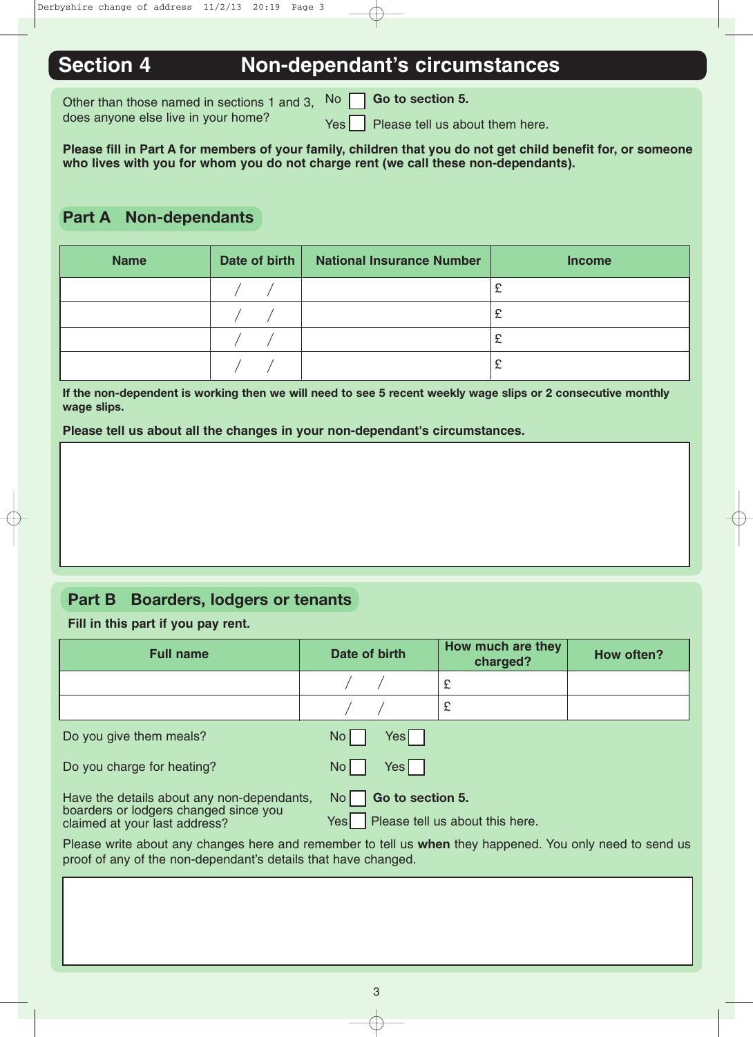# **Section 4 Non-dependant's circumstances**

Other than those named in sections 1 and 3, No does anyone else live in your home?

No **Go to section 5.**

 $Yes \mid$  Please tell us about them here.

**Please fill in Part A for members of your family, children that you do not get child benefit for, or someone who lives with you for whom you do not charge rent (we call these non-dependants).** 

## **Part A Non-dependants**

| <b>Name</b> | Date of birth | <b>National Insurance Number</b> | <b>Income</b> |
|-------------|---------------|----------------------------------|---------------|
|             |               |                                  |               |
|             |               |                                  | £             |
|             |               |                                  | £             |
|             |               |                                  | £             |

**If the non-dependent is working then we will need to see 5 recent weekly wage slips or 2 consecutive monthly wage slips.** 

**Please tell us about all the changes in your non-dependant's circumstances.**

## **Part B Boarders, lodgers or tenants**

**Fill in this part if you pay rent.**

| <b>Full name</b>                                                                                                                                                           | Date of birth                                                                | How much are they<br>charged? | How often? |
|----------------------------------------------------------------------------------------------------------------------------------------------------------------------------|------------------------------------------------------------------------------|-------------------------------|------------|
|                                                                                                                                                                            |                                                                              | £                             |            |
|                                                                                                                                                                            |                                                                              | £                             |            |
| Do you give them meals?                                                                                                                                                    | N <sub>O</sub><br>Yesl                                                       |                               |            |
| Do you charge for heating?                                                                                                                                                 | No <sub>1</sub><br>Yes I                                                     |                               |            |
| Have the details about any non-dependants,<br>boarders or lodgers changed since you<br>claimed at your last address?                                                       | Go to section 5.<br>No <sub>1</sub><br>Yes   Please tell us about this here. |                               |            |
| Please write about any changes here and remember to tell us when they happened. You only need to send us<br>proof of any of the non-dependant's details that have changed. |                                                                              |                               |            |
|                                                                                                                                                                            |                                                                              |                               |            |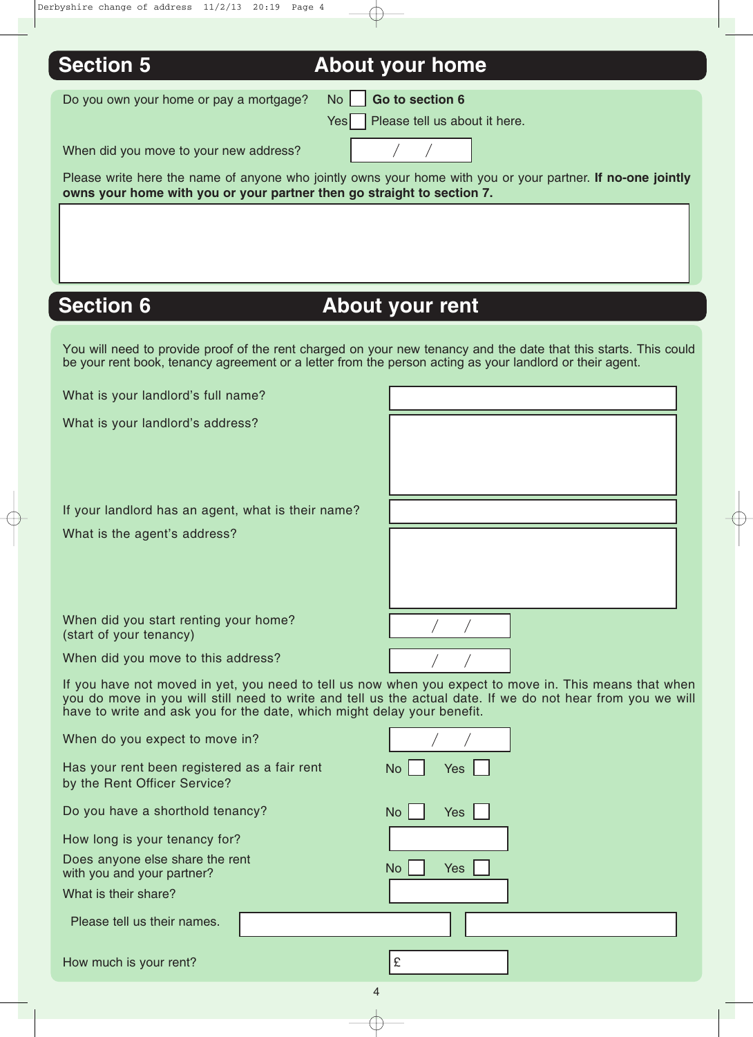| <b>Section 5</b>                                                             | <b>About your home</b>                                                                                                                                                                                                       |
|------------------------------------------------------------------------------|------------------------------------------------------------------------------------------------------------------------------------------------------------------------------------------------------------------------------|
| Do you own your home or pay a mortgage?                                      | Go to section 6<br>No.                                                                                                                                                                                                       |
|                                                                              | Please tell us about it here.<br>Yesl                                                                                                                                                                                        |
| When did you move to your new address?                                       |                                                                                                                                                                                                                              |
| owns your home with you or your partner then go straight to section 7.       | Please write here the name of anyone who jointly owns your home with you or your partner. If no-one jointly                                                                                                                  |
|                                                                              |                                                                                                                                                                                                                              |
|                                                                              |                                                                                                                                                                                                                              |
|                                                                              |                                                                                                                                                                                                                              |
| <b>Section 6</b>                                                             | <b>About your rent</b>                                                                                                                                                                                                       |
|                                                                              |                                                                                                                                                                                                                              |
|                                                                              | You will need to provide proof of the rent charged on your new tenancy and the date that this starts. This could<br>be your rent book, tenancy agreement or a letter from the person acting as your landlord or their agent. |
| What is your landlord's full name?                                           |                                                                                                                                                                                                                              |
| What is your landlord's address?                                             |                                                                                                                                                                                                                              |
|                                                                              |                                                                                                                                                                                                                              |
|                                                                              |                                                                                                                                                                                                                              |
| If your landlord has an agent, what is their name?                           |                                                                                                                                                                                                                              |
| What is the agent's address?                                                 |                                                                                                                                                                                                                              |
|                                                                              |                                                                                                                                                                                                                              |
|                                                                              |                                                                                                                                                                                                                              |
| When did you start renting your home?                                        |                                                                                                                                                                                                                              |
| (start of your tenancy)                                                      |                                                                                                                                                                                                                              |
| When did you move to this address?                                           |                                                                                                                                                                                                                              |
| have to write and ask you for the date, which might delay your benefit.      | If you have not moved in yet, you need to tell us now when you expect to move in. This means that when<br>you do move in you will still need to write and tell us the actual date. If we do not hear from you we will        |
| When do you expect to move in?                                               |                                                                                                                                                                                                                              |
| Has your rent been registered as a fair rent<br>by the Rent Officer Service? | <b>No</b><br><b>Yes</b>                                                                                                                                                                                                      |
| Do you have a shorthold tenancy?                                             | Yes<br>No                                                                                                                                                                                                                    |
| How long is your tenancy for?                                                |                                                                                                                                                                                                                              |
| Does anyone else share the rent<br>with you and your partner?                | No<br><b>Yes</b>                                                                                                                                                                                                             |
| What is their share?                                                         |                                                                                                                                                                                                                              |
| Please tell us their names.                                                  |                                                                                                                                                                                                                              |
|                                                                              |                                                                                                                                                                                                                              |

How much is your rent?  $\boxed{\epsilon}$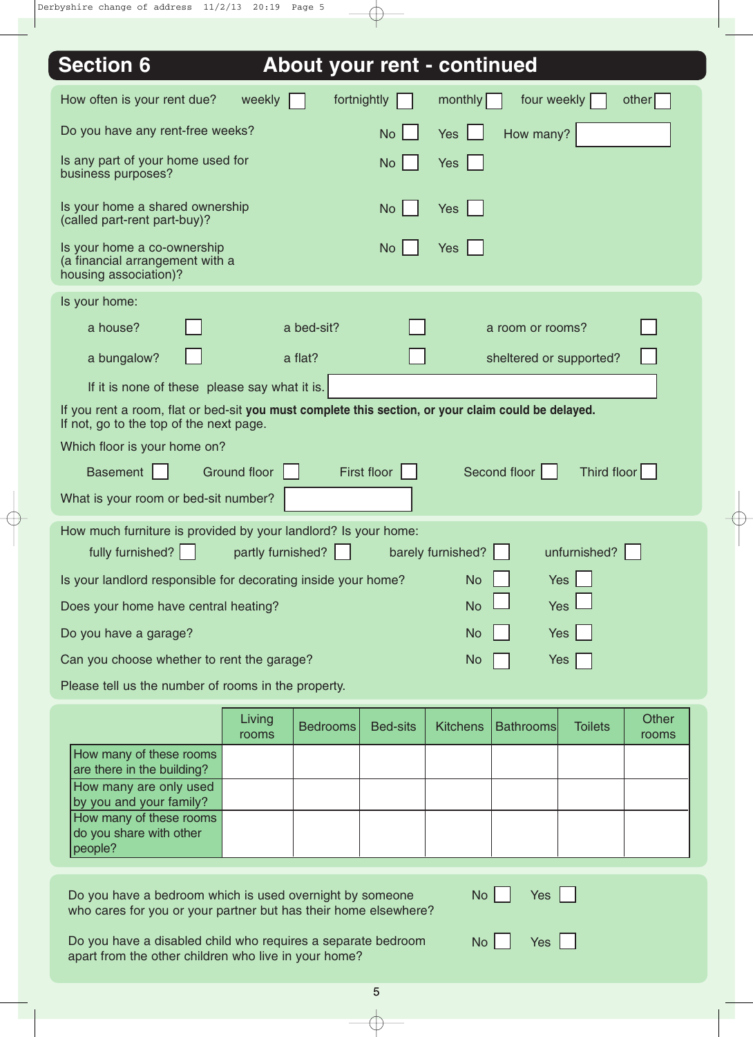| <b>Section 6</b>                                                                                                                               |                   |                 | About your rent - continued                                    |
|------------------------------------------------------------------------------------------------------------------------------------------------|-------------------|-----------------|----------------------------------------------------------------|
| How often is your rent due?<br>weekly                                                                                                          |                   | fortnightly     | monthly<br>four weekly<br>other                                |
| Do you have any rent-free weeks?                                                                                                               |                   | <b>No</b>       | Yes<br>How many?                                               |
| Is any part of your home used for<br>business purposes?                                                                                        |                   | <b>No</b>       | <b>Yes</b>                                                     |
| Is your home a shared ownership<br>(called part-rent part-buy)?                                                                                |                   | <b>No</b>       | <b>Yes</b>                                                     |
| Is your home a co-ownership<br>(a financial arrangement with a<br>housing association)?                                                        |                   | <b>No</b>       | Yes                                                            |
| Is your home:                                                                                                                                  |                   |                 |                                                                |
| a house?                                                                                                                                       | a bed-sit?        |                 | a room or rooms?                                               |
| a bungalow?                                                                                                                                    | a flat?           |                 | sheltered or supported?                                        |
| If it is none of these please say what it is.                                                                                                  |                   |                 |                                                                |
| If you rent a room, flat or bed-sit you must complete this section, or your claim could be delayed.<br>If not, go to the top of the next page. |                   |                 |                                                                |
| Which floor is your home on?                                                                                                                   |                   |                 |                                                                |
| <b>Basement</b><br><b>Ground floor</b>                                                                                                         |                   | First floor     | Second floor<br>Third floor                                    |
| What is your room or bed-sit number?                                                                                                           |                   |                 |                                                                |
| How much furniture is provided by your landlord? Is your home:<br>fully furnished?                                                             | partly furnished? |                 | barely furnished?<br>unfurnished?                              |
| Is your landlord responsible for decorating inside your home?                                                                                  |                   |                 | <b>Yes</b><br><b>No</b>                                        |
| Does your home have central heating?                                                                                                           |                   |                 | <b>Yes</b><br><b>No</b>                                        |
| Do you have a garage?                                                                                                                          |                   |                 | Yes $ $<br><b>No</b>                                           |
| Can you choose whether to rent the garage?                                                                                                     |                   |                 | Yes<br><b>No</b>                                               |
| Please tell us the number of rooms in the property.                                                                                            |                   |                 |                                                                |
| Living                                                                                                                                         | <b>Bedrooms</b>   | <b>Bed-sits</b> | Other<br><b>Bathrooms</b><br><b>Toilets</b><br><b>Kitchens</b> |
| rooms<br>How many of these rooms                                                                                                               |                   |                 | rooms                                                          |
| are there in the building?<br>How many are only used                                                                                           |                   |                 |                                                                |
| by you and your family?                                                                                                                        |                   |                 |                                                                |
| How many of these rooms<br>do you share with other<br>people?                                                                                  |                   |                 |                                                                |
| Do you have a bedroom which is used overnight by someone<br>who cares for you or your partner but has their home elsewhere?                    |                   |                 | No <sub>1</sub><br>Yes                                         |

Do you have a disabled child who requires a separate bedroom apart from the other children who live in your home?

 $No$  Yes  $\Box$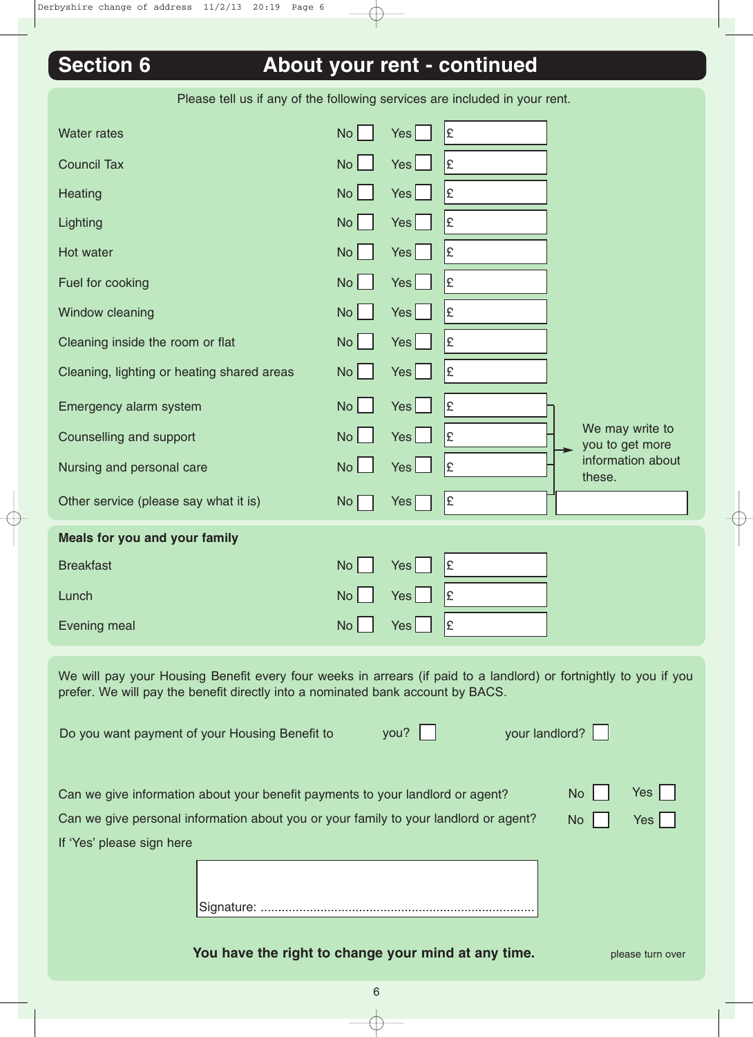| <b>Section 6</b>                           |                 |                  | About your rent - continued                                                |                                    |
|--------------------------------------------|-----------------|------------------|----------------------------------------------------------------------------|------------------------------------|
|                                            |                 |                  | Please tell us if any of the following services are included in your rent. |                                    |
| <b>Water rates</b>                         | No              | Yes              | Ι£                                                                         |                                    |
| <b>Council Tax</b>                         | <b>No</b>       | Yes <sub>l</sub> | £                                                                          |                                    |
| <b>Heating</b>                             | No              | Yes              | l£                                                                         |                                    |
| Lighting                                   | No              | Yes              | Ι£                                                                         |                                    |
| Hot water                                  | No              | Yes <sub>l</sub> | £                                                                          |                                    |
| Fuel for cooking                           | No <sub>1</sub> | Yes              | Ι£                                                                         |                                    |
| Window cleaning                            | No <sub>1</sub> | Yes              | £                                                                          |                                    |
| Cleaning inside the room or flat           | No <sub>1</sub> | Yes              | £                                                                          |                                    |
| Cleaning, lighting or heating shared areas | No <sub>1</sub> | Yes              | £                                                                          |                                    |
| Emergency alarm system                     | <b>No</b>       | Yes              | £                                                                          |                                    |
| Counselling and support                    | <b>No</b>       | Yes <sub>l</sub> | £                                                                          | We may write to<br>you to get more |
| Nursing and personal care                  | No <sub>1</sub> | Yes <sup>L</sup> | l£                                                                         | information about                  |

Other service (please say what it is)  $N_o \cap \mathbb{R}$  Yes  $\cap$  2

Breakfast  $\begin{array}{ccc} \text{B} & \text{B} & \text{B} \end{array}$   $\begin{array}{ccc} \text{B} & \text{B} & \text{B} \end{array}$ 

Lunch No Yes £

Evening meal  $\begin{array}{ccc} \text{Neumann} & \text{Neumann} \\ \end{array}$  No  $\begin{array}{ccc} \text{Neumann} \\ \end{array}$ 

**Meals for you and your family**

We will pay your Housing Benefit every four weeks in arrears (if paid to a landlord) or fortnightly to you if you prefer. We will pay the benefit directly into a nominated bank account by BACS.

|                           | Do you want payment of your Housing Benefit to                                                                                                                         | you? | your landlord? |           |                     |
|---------------------------|------------------------------------------------------------------------------------------------------------------------------------------------------------------------|------|----------------|-----------|---------------------|
|                           | Can we give information about your benefit payments to your landlord or agent?<br>Can we give personal information about you or your family to your landlord or agent? |      |                | No<br>No. | Yes  <br>$Yes \mid$ |
| If 'Yes' please sign here | Signature:                                                                                                                                                             |      |                |           |                     |

**You have the right to change your mind at any time.** Please turn over

these.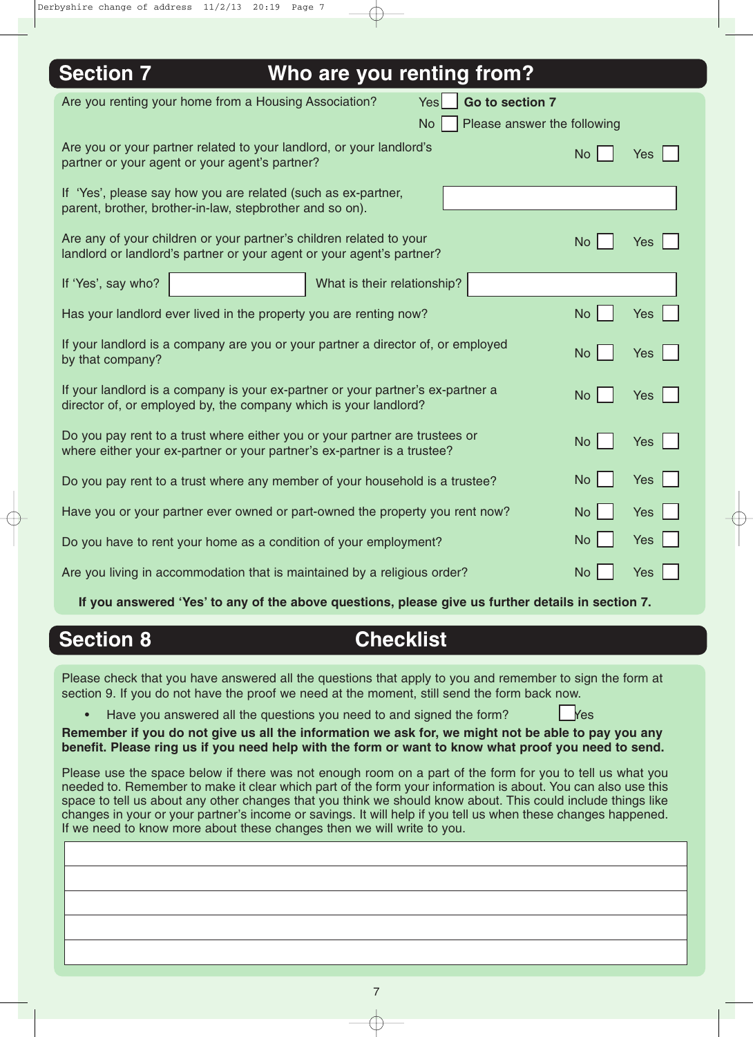| <b>Section 7</b><br>Who are you renting from?                                                                                                                                     |                         |  |  |
|-----------------------------------------------------------------------------------------------------------------------------------------------------------------------------------|-------------------------|--|--|
| Are you renting your home from a Housing Association?<br>Go to section 7<br>Yes<br><b>No</b><br>Please answer the following                                                       |                         |  |  |
| Are you or your partner related to your landlord, or your landlord's<br>partner or your agent or your agent's partner?                                                            | <b>No</b><br><b>Yes</b> |  |  |
| If 'Yes', please say how you are related (such as ex-partner,<br>parent, brother, brother-in-law, stepbrother and so on).                                                         |                         |  |  |
| Are any of your children or your partner's children related to your<br>landlord or landlord's partner or your agent or your agent's partner?                                      | <b>No</b><br><b>Yes</b> |  |  |
| If 'Yes', say who?<br>What is their relationship?                                                                                                                                 |                         |  |  |
| Has your landlord ever lived in the property you are renting now?                                                                                                                 | <b>No</b><br><b>Yes</b> |  |  |
| If your landlord is a company are you or your partner a director of, or employed<br>by that company?                                                                              | <b>No</b><br>Yes $ $    |  |  |
| If your landlord is a company is your ex-partner or your partner's ex-partner a<br><b>No</b><br>Yes $ $<br>director of, or employed by, the company which is your landlord?       |                         |  |  |
| Do you pay rent to a trust where either you or your partner are trustees or<br><b>No</b><br><b>Yes</b><br>where either your ex-partner or your partner's ex-partner is a trustee? |                         |  |  |
| Do you pay rent to a trust where any member of your household is a trustee?                                                                                                       | <b>No</b><br><b>Yes</b> |  |  |
| Have you or your partner ever owned or part-owned the property you rent now?                                                                                                      | <b>No</b><br><b>Yes</b> |  |  |
| Do you have to rent your home as a condition of your employment?                                                                                                                  | <b>Yes</b><br><b>No</b> |  |  |
| Are you living in accommodation that is maintained by a religious order?                                                                                                          | <b>No</b><br>Yes        |  |  |

**If you answered 'Yes' to any of the above questions, please give us further details in section 7.**

## **Section 8 Checklist**

Please check that you have answered all the questions that apply to you and remember to sign the form at section 9. If you do not have the proof we need at the moment, still send the form back now.

Have you answered all the questions you need to and signed the form?

**Remember if you do not give us all the information we ask for, we might not be able to pay you any benefit. Please ring us if you need help with the form or want to know what proof you need to send.**

Please use the space below if there was not enough room on a part of the form for you to tell us what you needed to. Remember to make it clear which part of the form your information is about. You can also use this space to tell us about any other changes that you think we should know about. This could include things like changes in your or your partner's income or savings. It will help if you tell us when these changes happened. If we need to know more about these changes then we will write to you.